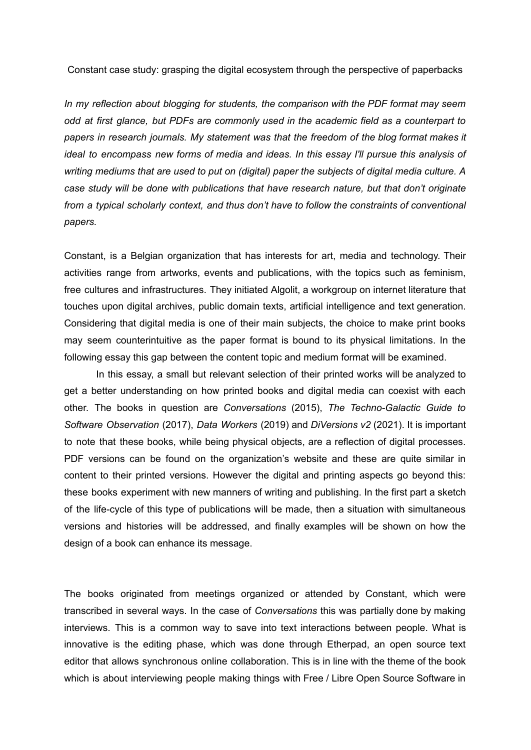Constant case study: grasping the digital ecosystem through the perspective of paperbacks

*In my reflection about blogging for students, the comparison with the PDF format may seem odd at first glance, but PDFs are commonly used in the academic field as a counterpart to papers in research journals. My statement was that the freedom of the blog format makes it ideal to encompass new forms of media and ideas. In this essay I'll pursue this analysis of writing mediums that are used to put on (digital) paper the subjects of digital media culture. A case study will be done with publications that have research nature, but that don't originate from a typical scholarly context, and thus don't have to follow the constraints of conventional papers.*

Constant, is a Belgian organization that has interests for art, media and technology. Their activities range from artworks, events and publications, with the topics such as feminism, free cultures and infrastructures. They initiated Algolit, a workgroup on internet literature that touches upon digital archives, public domain texts, artificial intelligence and text generation. Considering that digital media is one of their main subjects, the choice to make print books may seem counterintuitive as the paper format is bound to its physical limitations. In the following essay this gap between the content topic and medium format will be examined.

In this essay, a small but relevant selection of their printed works will be analyzed to get a better understanding on how printed books and digital media can coexist with each other. The books in question are *Conversations* (2015), *The Techno-Galactic Guide to Software Observation* (2017), *Data Workers* (2019) and *DiVersions v2* (2021). It is important to note that these books, while being physical objects, are a reflection of digital processes. PDF versions can be found on the organization's website and these are quite similar in content to their printed versions. However the digital and printing aspects go beyond this: these books experiment with new manners of writing and publishing. In the first part a sketch of the life-cycle of this type of publications will be made, then a situation with simultaneous versions and histories will be addressed, and finally examples will be shown on how the design of a book can enhance its message.

The books originated from meetings organized or attended by Constant, which were transcribed in several ways. In the case of *Conversations* this was partially done by making interviews. This is a common way to save into text interactions between people. What is innovative is the editing phase, which was done through Etherpad, an open source text editor that allows synchronous online collaboration. This is in line with the theme of the book which is about interviewing people making things with Free / Libre Open Source Software in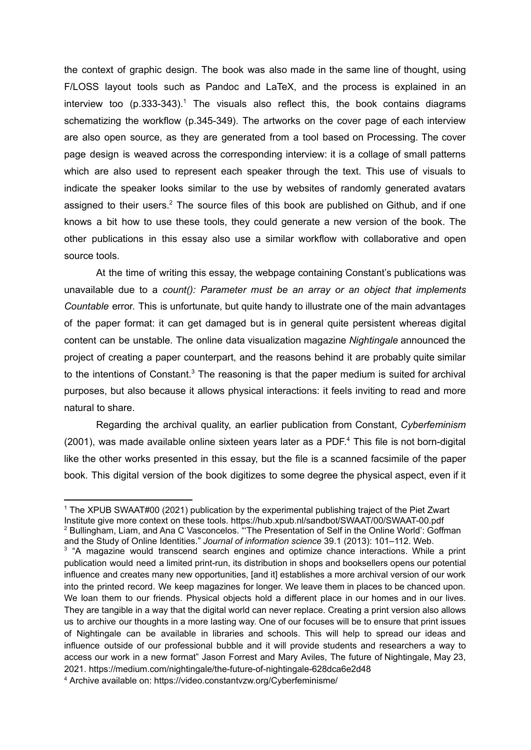the context of graphic design. The book was also made in the same line of thought, using F/LOSS layout tools such as Pandoc and LaTeX, and the process is explained in an interview too  $(p.333-343).$ <sup>1</sup> The visuals also reflect this, the book contains diagrams schematizing the workflow (p.345-349). The artworks on the cover page of each interview are also open source, as they are generated from a tool based on Processing. The cover page design is weaved across the corresponding interview: it is a collage of small patterns which are also used to represent each speaker through the text. This use of visuals to indicate the speaker looks similar to the use by websites of randomly generated avatars assigned to their users.<sup>2</sup> The source files of this book are published on Github, and if one knows a bit how to use these tools, they could generate a new version of the book. The other publications in this essay also use a similar workflow with collaborative and open source tools.

At the time of writing this essay, the webpage containing Constant's publications was unavailable due to a *count(): Parameter must be an array or an object that implements Countable* error. This is unfortunate, but quite handy to illustrate one of the main advantages of the paper format: it can get damaged but is in general quite persistent whereas digital content can be unstable. The online data visualization magazine *Nightingale* announced the project of creating a paper counterpart, and the reasons behind it are probably quite similar to the intentions of Constant. $3$  The reasoning is that the paper medium is suited for archival purposes, but also because it allows physical interactions: it feels inviting to read and more natural to share.

Regarding the archival quality, an earlier publication from Constant, *Cyberfeminism* (2001), was made available online sixteen years later as a PDF. <sup>4</sup> This file is not born-digital like the other works presented in this essay, but the file is a scanned facsimile of the paper book. This digital version of the book digitizes to some degree the physical aspect, even if it

<sup>2</sup> Bullingham, Liam, and Ana C Vasconcelos. "'The Presentation of Self in the Online World': Goffman and the Study of Online Identities." *Journal of information science* 39.1 (2013): 101–112. Web. <sup>1</sup> The XPUB SWAAT#00 (2021) publication by the experimental publishing traject of the Piet Zwart Institute give more context on these tools. https://hub.xpub.nl/sandbot/SWAAT/00/SWAAT-00.pdf

<sup>&</sup>lt;sup>3</sup> "A magazine would transcend search engines and optimize chance interactions. While a print publication would need a limited print-run, its distribution in shops and booksellers opens our potential influence and creates many new opportunities, [and it] establishes a more archival version of our work into the printed record. We keep magazines for longer. We leave them in places to be chanced upon. We loan them to our friends. Physical objects hold a different place in our homes and in our lives. They are tangible in a way that the digital world can never replace. Creating a print version also allows us to archive our thoughts in a more lasting way. One of our focuses will be to ensure that print issues of Nightingale can be available in libraries and schools. This will help to spread our ideas and influence outside of our professional bubble and it will provide students and researchers a way to access our work in a new format" Jason Forrest and Mary Aviles, The future of Nightingale, May 23, 2021. https://medium.com/nightingale/the-future-of-nightingale-628dca6e2d48

<sup>4</sup> Archive available on: https://video.constantvzw.org/Cyberfeminisme/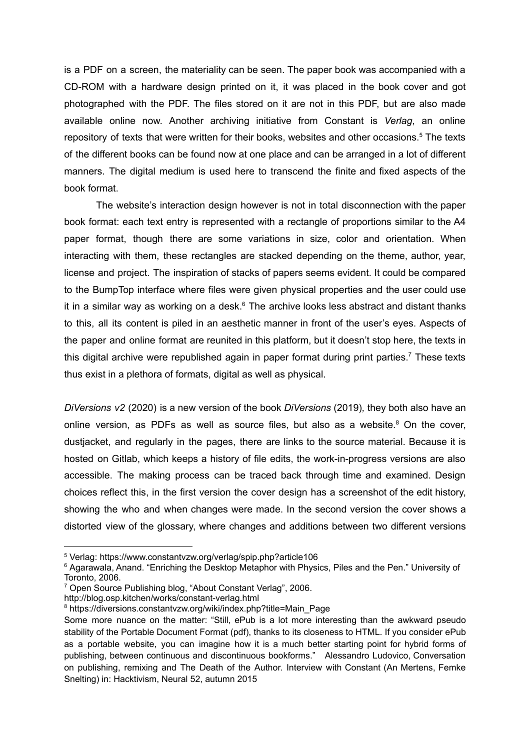is a PDF on a screen, the materiality can be seen. The paper book was accompanied with a CD-ROM with a hardware design printed on it, it was placed in the book cover and got photographed with the PDF. The files stored on it are not in this PDF, but are also made available online now. Another archiving initiative from Constant is *Verlag*, an online repository of texts that were written for their books, websites and other occasions. <sup>5</sup> The texts of the different books can be found now at one place and can be arranged in a lot of different manners. The digital medium is used here to transcend the finite and fixed aspects of the book format.

The website's interaction design however is not in total disconnection with the paper book format: each text entry is represented with a rectangle of proportions similar to the A4 paper format, though there are some variations in size, color and orientation. When interacting with them, these rectangles are stacked depending on the theme, author, year, license and project. The inspiration of stacks of papers seems evident. It could be compared to the BumpTop interface where files were given physical properties and the user could use it in a similar way as working on a desk.<sup>6</sup> The archive looks less abstract and distant thanks to this, all its content is piled in an aesthetic manner in front of the user's eyes. Aspects of the paper and online format are reunited in this platform, but it doesn't stop here, the texts in this digital archive were republished again in paper format during print parties.<sup>7</sup> These texts thus exist in a plethora of formats, digital as well as physical.

*DiVersions v2* (2020) is a new version of the book *DiVersions* (2019)*,* they both also have an online version, as PDFs as well as source files, but also as a website.<sup>8</sup> On the cover, dustjacket, and regularly in the pages, there are links to the source material. Because it is hosted on Gitlab, which keeps a history of file edits, the work-in-progress versions are also accessible. The making process can be traced back through time and examined. Design choices reflect this, in the first version the cover design has a screenshot of the edit history, showing the who and when changes were made. In the second version the cover shows a distorted view of the glossary, where changes and additions between two different versions

http://blog.osp.kitchen/works/constant-verlag.html

<sup>5</sup> Verlag: https://www.constantvzw.org/verlag/spip.php?article106

<sup>&</sup>lt;sup>6</sup> Agarawala, Anand. "Enriching the Desktop Metaphor with Physics, Piles and the Pen." University of Toronto, 2006.

<sup>7</sup> Open Source Publishing blog, "About Constant Verlag", 2006.

<sup>&</sup>lt;sup>8</sup> https://diversions.constantvzw.org/wiki/index.php?title=Main\_Page

Some more nuance on the matter: "Still, ePub is a lot more interesting than the awkward pseudo stability of the Portable Document Format (pdf), thanks to its closeness to HTML. If you consider ePub as a portable website, you can imagine how it is a much better starting point for hybrid forms of publishing, between continuous and discontinuous bookforms." Alessandro Ludovico, Conversation on publishing, remixing and The Death of the Author. Interview with Constant (An Mertens, Femke Snelting) in: Hacktivism, Neural 52, autumn 2015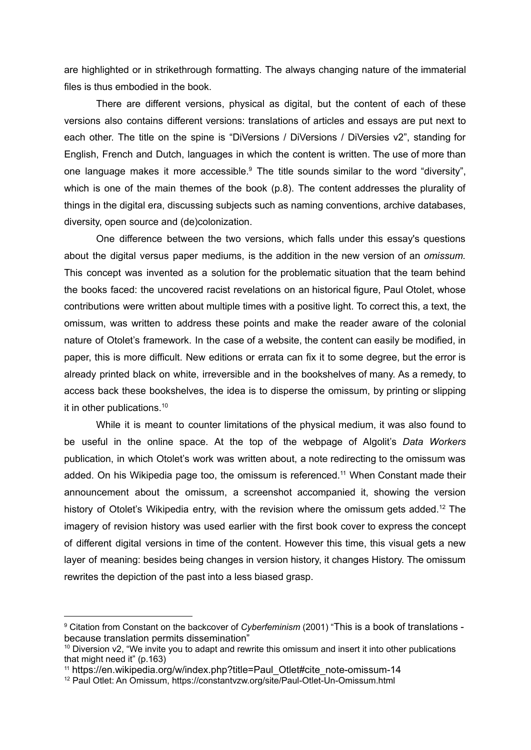are highlighted or in strikethrough formatting. The always changing nature of the immaterial files is thus embodied in the book.

There are different versions, physical as digital, but the content of each of these versions also contains different versions: translations of articles and essays are put next to each other. The title on the spine is "DiVersions / DiVersions / DiVersies v2", standing for English, French and Dutch, languages in which the content is written. The use of more than one language makes it more accessible.<sup>9</sup> The title sounds similar to the word "diversity", which is one of the main themes of the book (p.8). The content addresses the plurality of things in the digital era, discussing subjects such as naming conventions, archive databases, diversity, open source and (de)colonization.

One difference between the two versions, which falls under this essay's questions about the digital versus paper mediums, is the addition in the new version of an *omissum.* This concept was invented as a solution for the problematic situation that the team behind the books faced: the uncovered racist revelations on an historical figure, Paul Otolet, whose contributions were written about multiple times with a positive light. To correct this, a text, the omissum, was written to address these points and make the reader aware of the colonial nature of Otolet's framework. In the case of a website, the content can easily be modified, in paper, this is more difficult. New editions or errata can fix it to some degree, but the error is already printed black on white, irreversible and in the bookshelves of many. As a remedy, to access back these bookshelves, the idea is to disperse the omissum, by printing or slipping it in other publications. 10

While it is meant to counter limitations of the physical medium, it was also found to be useful in the online space. At the top of the webpage of Algolit's *Data Workers* publication, in which Otolet's work was written about, a note redirecting to the omissum was added. On his Wikipedia page too, the omissum is referenced.<sup>11</sup> When Constant made their announcement about the omissum, a screenshot accompanied it, showing the version history of Otolet's Wikipedia entry, with the revision where the omissum gets added.<sup>12</sup> The imagery of revision history was used earlier with the first book cover to express the concept of different digital versions in time of the content. However this time, this visual gets a new layer of meaning: besides being changes in version history, it changes History. The omissum rewrites the depiction of the past into a less biased grasp.

<sup>9</sup> Citation from Constant on the backcover of *Cyberfeminism* (2001) "This is a book of translations because translation permits dissemination"

 $10$  Diversion v2, "We invite you to adapt and rewrite this omissum and insert it into other publications that might need it" (p.163)

<sup>11</sup> https://en.wikipedia.org/w/index.php?title=Paul\_Otlet#cite\_note-omissum-14

<sup>&</sup>lt;sup>12</sup> Paul Otlet: An Omissum, https://constantvzw.org/site/Paul-Otlet-Un-Omissum.html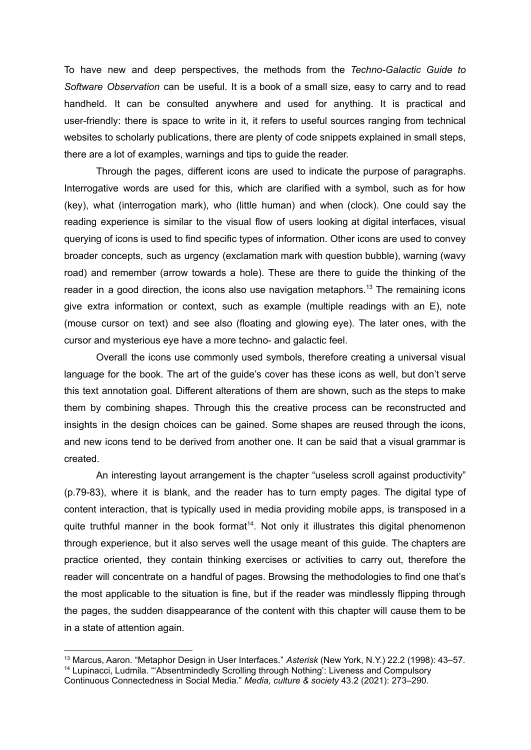To have new and deep perspectives, the methods from the *Techno-Galactic Guide to Software Observation* can be useful. It is a book of a small size, easy to carry and to read handheld. It can be consulted anywhere and used for anything. It is practical and user-friendly: there is space to write in it, it refers to useful sources ranging from technical websites to scholarly publications, there are plenty of code snippets explained in small steps, there are a lot of examples, warnings and tips to guide the reader.

Through the pages, different icons are used to indicate the purpose of paragraphs. Interrogative words are used for this, which are clarified with a symbol, such as for how (key), what (interrogation mark), who (little human) and when (clock). One could say the reading experience is similar to the visual flow of users looking at digital interfaces, visual querying of icons is used to find specific types of information. Other icons are used to convey broader concepts, such as urgency (exclamation mark with question bubble), warning (wavy road) and remember (arrow towards a hole). These are there to guide the thinking of the reader in a good direction, the icons also use navigation metaphors.<sup>13</sup> The remaining icons give extra information or context, such as example (multiple readings with an E), note (mouse cursor on text) and see also (floating and glowing eye). The later ones, with the cursor and mysterious eye have a more techno- and galactic feel.

Overall the icons use commonly used symbols, therefore creating a universal visual language for the book. The art of the guide's cover has these icons as well, but don't serve this text annotation goal. Different alterations of them are shown, such as the steps to make them by combining shapes. Through this the creative process can be reconstructed and insights in the design choices can be gained. Some shapes are reused through the icons, and new icons tend to be derived from another one. It can be said that a visual grammar is created.

An interesting layout arrangement is the chapter "useless scroll against productivity" (p.79-83), where it is blank, and the reader has to turn empty pages. The digital type of content interaction, that is typically used in media providing mobile apps, is transposed in a quite truthful manner in the book format<sup>14</sup>. Not only it illustrates this digital phenomenon through experience, but it also serves well the usage meant of this guide. The chapters are practice oriented, they contain thinking exercises or activities to carry out, therefore the reader will concentrate on a handful of pages. Browsing the methodologies to find one that's the most applicable to the situation is fine, but if the reader was mindlessly flipping through the pages, the sudden disappearance of the content with this chapter will cause them to be in a state of attention again.

<sup>&</sup>lt;sup>14</sup> Lupinacci, Ludmila. "'Absentmindedly Scrolling through Nothing': Liveness and Compulsory Continuous Connectedness in Social Media." *Media, culture & society* 43.2 (2021): 273–290. <sup>13</sup> Marcus, Aaron. "Metaphor Design in User Interfaces." *Asterisk* (New York, N.Y.) 22.2 (1998): 43–57.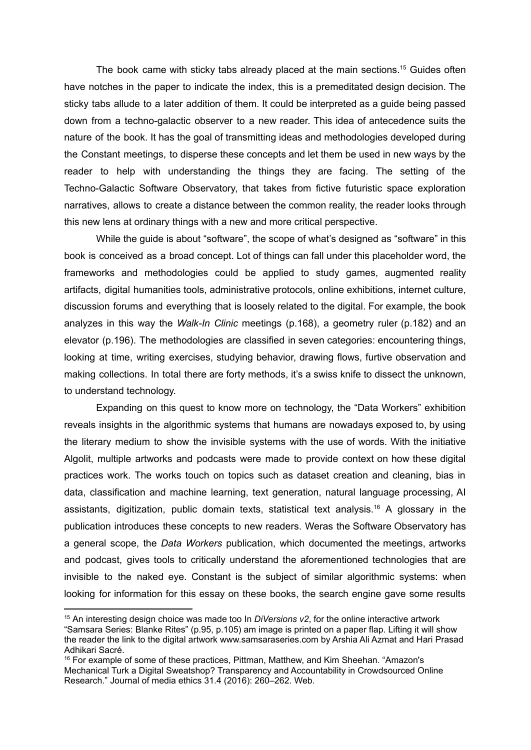The book came with sticky tabs already placed at the main sections.<sup>15</sup> Guides often have notches in the paper to indicate the index, this is a premeditated design decision. The sticky tabs allude to a later addition of them. It could be interpreted as a guide being passed down from a techno-galactic observer to a new reader. This idea of antecedence suits the nature of the book. It has the goal of transmitting ideas and methodologies developed during the Constant meetings, to disperse these concepts and let them be used in new ways by the reader to help with understanding the things they are facing. The setting of the Techno-Galactic Software Observatory, that takes from fictive futuristic space exploration narratives, allows to create a distance between the common reality, the reader looks through this new lens at ordinary things with a new and more critical perspective.

While the guide is about "software", the scope of what's designed as "software" in this book is conceived as a broad concept. Lot of things can fall under this placeholder word, the frameworks and methodologies could be applied to study games, augmented reality artifacts, digital humanities tools, administrative protocols, online exhibitions, internet culture, discussion forums and everything that is loosely related to the digital. For example, the book analyzes in this way the *Walk-In Clinic* meetings (p.168), a geometry ruler (p.182) and an elevator (p.196). The methodologies are classified in seven categories: encountering things, looking at time, writing exercises, studying behavior, drawing flows, furtive observation and making collections. In total there are forty methods, it's a swiss knife to dissect the unknown, to understand technology.

Expanding on this quest to know more on technology, the "Data Workers" exhibition reveals insights in the algorithmic systems that humans are nowadays exposed to, by using the literary medium to show the invisible systems with the use of words. With the initiative Algolit, multiple artworks and podcasts were made to provide context on how these digital practices work. The works touch on topics such as dataset creation and cleaning, bias in data, classification and machine learning, text generation, natural language processing, AI assistants, digitization, public domain texts, statistical text analysis. <sup>16</sup> A glossary in the publication introduces these concepts to new readers. Weras the Software Observatory has a general scope, the *Data Workers* publication, which documented the meetings, artworks and podcast, gives tools to critically understand the aforementioned technologies that are invisible to the naked eye. Constant is the subject of similar algorithmic systems: when looking for information for this essay on these books, the search engine gave some results

<sup>15</sup> An interesting design choice was made too In *DiVersions v2*, for the online interactive artwork "Samsara Series: Blanke Rites" (p.95, p.105) am image is printed on a paper flap. Lifting it will show the reader the link to the digital artwork www.samsaraseries.com by Arshia Ali Azmat and Hari Prasad Adhikari Sacré.

<sup>&</sup>lt;sup>16</sup> For example of some of these practices, Pittman, Matthew, and Kim Sheehan, "Amazon's Mechanical Turk a Digital Sweatshop? Transparency and Accountability in Crowdsourced Online Research." Journal of media ethics 31.4 (2016): 260–262. Web.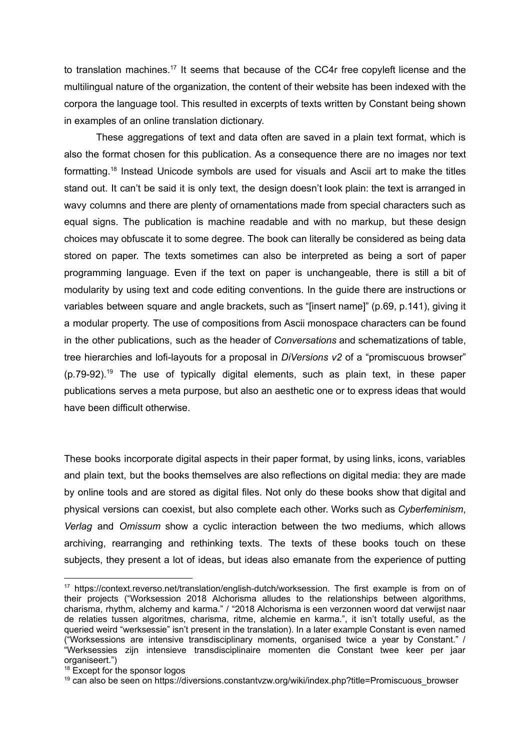to translation machines.<sup>17</sup> It seems that because of the CC4r free copyleft license and the multilingual nature of the organization, the content of their website has been indexed with the corpora the language tool. This resulted in excerpts of texts written by Constant being shown in examples of an online translation dictionary.

These aggregations of text and data often are saved in a plain text format, which is also the format chosen for this publication. As a consequence there are no images nor text formatting.<sup>18</sup> Instead Unicode symbols are used for visuals and Ascii art to make the titles stand out. It can't be said it is only text, the design doesn't look plain: the text is arranged in wavy columns and there are plenty of ornamentations made from special characters such as equal signs. The publication is machine readable and with no markup, but these design choices may obfuscate it to some degree. The book can literally be considered as being data stored on paper. The texts sometimes can also be interpreted as being a sort of paper programming language. Even if the text on paper is unchangeable, there is still a bit of modularity by using text and code editing conventions. In the guide there are instructions or variables between square and angle brackets, such as "[insert name]" (p.69, p.141), giving it a modular property. The use of compositions from Ascii monospace characters can be found in the other publications, such as the header of *Conversations* and schematizations of table, tree hierarchies and lofi-layouts for a proposal in *DiVersions v2* of a "promiscuous browser" (p.79-92). <sup>19</sup> The use of typically digital elements, such as plain text, in these paper publications serves a meta purpose, but also an aesthetic one or to express ideas that would have been difficult otherwise.

These books incorporate digital aspects in their paper format, by using links, icons, variables and plain text, but the books themselves are also reflections on digital media: they are made by online tools and are stored as digital files. Not only do these books show that digital and physical versions can coexist, but also complete each other. Works such as *Cyberfeminism*, *Verlag* and *Omissum* show a cyclic interaction between the two mediums, which allows archiving, rearranging and rethinking texts. The texts of these books touch on these subjects, they present a lot of ideas, but ideas also emanate from the experience of putting

<sup>17</sup> https://context.reverso.net/translation/english-dutch/worksession. The first example is from on of their projects ("Worksession 2018 Alchorisma alludes to the relationships between algorithms, charisma, rhythm, alchemy and karma." / "2018 Alchorisma is een verzonnen woord dat verwijst naar de relaties tussen algoritmes, charisma, ritme, alchemie en karma.", it isn't totally useful, as the queried weird "werksessie" isn't present in the translation). In a later example Constant is even named ("Worksessions are intensive transdisciplinary moments, organised twice a year by Constant." / "Werksessies zijn intensieve transdisciplinaire momenten die Constant twee keer per jaar organiseert.")

<sup>&</sup>lt;sup>18</sup> Except for the sponsor logos

<sup>&</sup>lt;sup>19</sup> can also be seen on https://diversions.constantvzw.org/wiki/index.php?title=Promiscuous\_browser